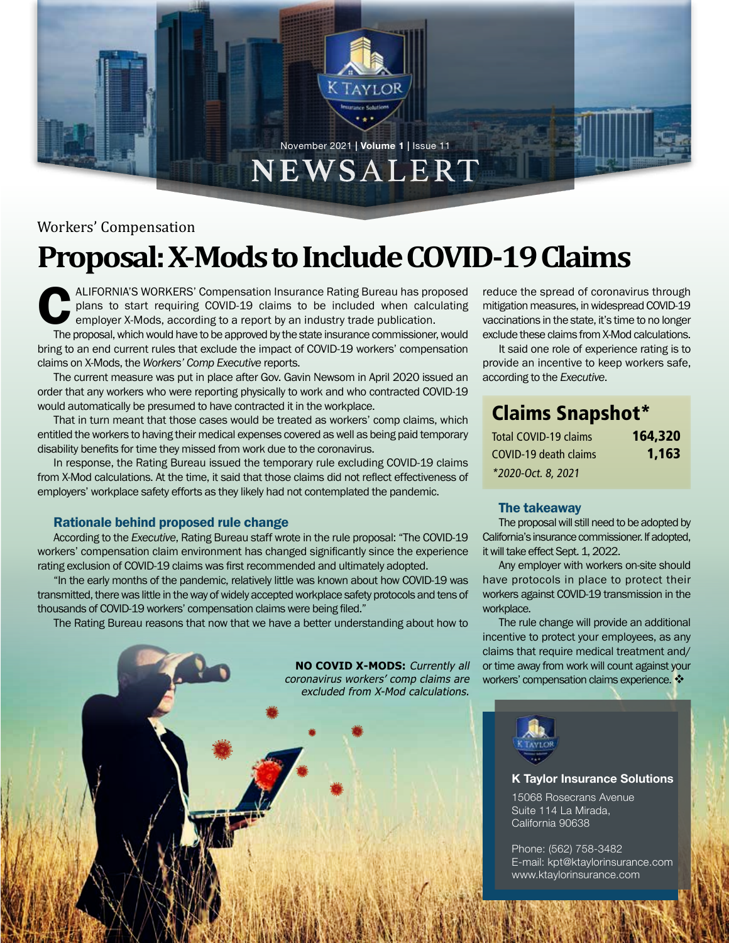

November 2021 **| Volume 1 |** Issue 11NEWSALERT

### Workers' Compensation

# **Proposal: X-Mods to Include COVID-19 Claims**

ALIFORNIA'S WORKERS' Compensation Insurance Rating Bureau has proposed<br>plans to start requiring COVID-19 claims to be included when calculating<br>employer X-Mods, according to a report by an industry trade publication.<br>The p plans to start requiring COVID-19 claims to be included when calculating employer X-Mods, according to a report by an industry trade publication.

The proposal, which would have to be approved by the state insurance commissioner, would bring to an end current rules that exclude the impact of COVID-19 workers' compensation claims on X-Mods, the *Workers' Comp Executive* reports.

The current measure was put in place after Gov. Gavin Newsom in April 2020 issued an order that any workers who were reporting physically to work and who contracted COVID-19 would automatically be presumed to have contracted it in the workplace.

That in turn meant that those cases would be treated as workers' comp claims, which entitled the workers to having their medical expenses covered as well as being paid temporary disability benefits for time they missed from work due to the coronavirus.

In response, the Rating Bureau issued the temporary rule excluding COVID-19 claims from X-Mod calculations. At the time, it said that those claims did not reflect effectiveness of employers' workplace safety efforts as they likely had not contemplated the pandemic.

#### Rationale behind proposed rule change

According to the *Executive*, Rating Bureau staff wrote in the rule proposal: "The COVID-19 workers' compensation claim environment has changed significantly since the experience rating exclusion of COVID-19 claims was first recommended and ultimately adopted.

"In the early months of the pandemic, relatively little was known about how COVID-19 was transmitted, there was little in the way of widely accepted workplace safety protocols and tens of thousands of COVID-19 workers' compensation claims were being filed."

The Rating Bureau reasons that now that we have a better understanding about how to



reduce the spread of coronavirus through mitigation measures, in widespread COVID-19 vaccinations in the state, it's time to no longer exclude these claims from X-Mod calculations.

It said one role of experience rating is to provide an incentive to keep workers safe, according to the *Executive*.

# Claims Snapshot\*

| Total COVID-19 claims | 164,320 |
|-----------------------|---------|
| COVID-19 death claims | 1,163   |
| *2020-Oct. 8, 2021    |         |

#### The takeaway

The proposal will still need to be adopted by California's insurance commissioner. If adopted, it will take effect Sept. 1, 2022.

Any employer with workers on-site should have protocols in place to protect their workers against COVID-19 transmission in the workplace.

The rule change will provide an additional incentive to protect your employees, as any claims that require medical treatment and/ or time away from work will count against your workers' compensation claims experience. \*



#### **K Taylor Insurance Solutions**

15068 Rosecrans Avenue Suite 114 La Mirada, California 90638

Phone: (562) 758-3482 E-mail: kpt@ktaylorinsurance.com www.ktaylorinsurance.com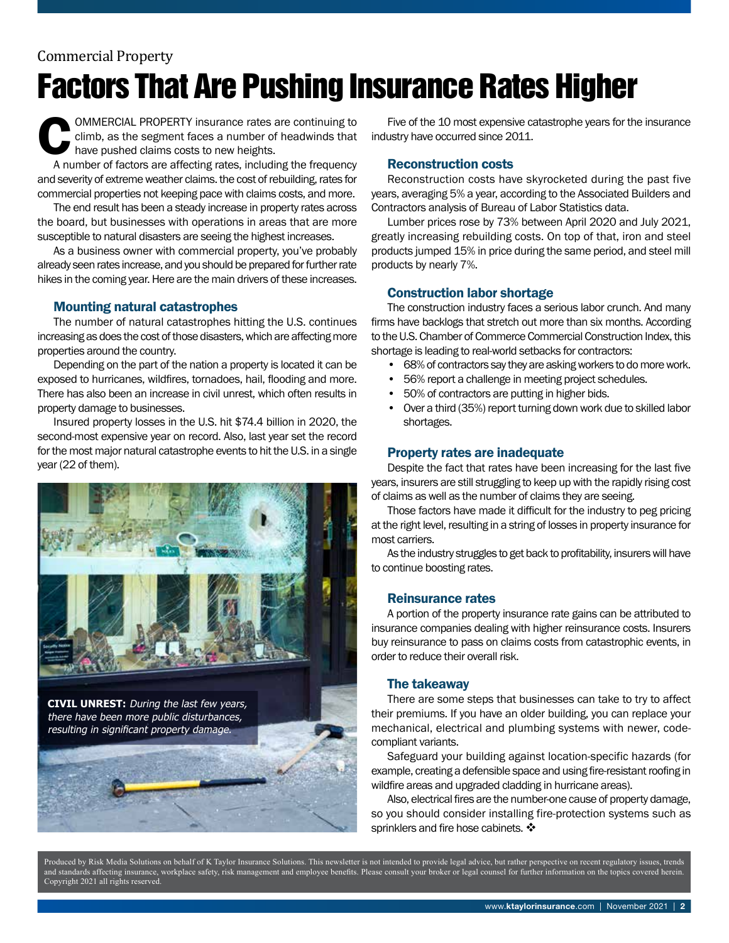### Commercial Property

# Factors That Are Pushing Insurance Rates Higher

COMMERCIAL PROPERTY insurance rates are continuing to<br>climb, as the segment faces a number of headwinds that<br>have pushed claims costs to new heights.<br>A number of factors are affecting rates, including the frequency climb, as the segment faces a number of headwinds that have pushed claims costs to new heights.

A number of factors are affecting rates, including the frequency and severity of extreme weather claims. the cost of rebuilding, rates for commercial properties not keeping pace with claims costs, and more.

The end result has been a steady increase in property rates across the board, but businesses with operations in areas that are more susceptible to natural disasters are seeing the highest increases.

As a business owner with commercial property, you've probably already seen rates increase, and you should be prepared for further rate hikes in the coming year. Here are the main drivers of these increases.

#### Mounting natural catastrophes

The number of natural catastrophes hitting the U.S. continues increasing as does the cost of those disasters, which are affecting more properties around the country.

Depending on the part of the nation a property is located it can be exposed to hurricanes, wildfires, tornadoes, hail, flooding and more. There has also been an increase in civil unrest, which often results in property damage to businesses.

Insured property losses in the U.S. hit \$74.4 billion in 2020, the second-most expensive year on record. Also, last year set the record for the most major natural catastrophe events to hit the U.S. in a single year (22 of them).



**CIVIL UNREST:** During the last few years, there have been more public disturbances, resulting in significant property damage.



Five of the 10 most expensive catastrophe years for the insurance industry have occurred since 2011.

#### Reconstruction costs

Reconstruction costs have skyrocketed during the past five years, averaging 5% a year, according to the Associated Builders and Contractors analysis of Bureau of Labor Statistics data.

Lumber prices rose by 73% between April 2020 and July 2021, greatly increasing rebuilding costs. On top of that, iron and steel products jumped 15% in price during the same period, and steel mill products by nearly 7%.

#### Construction labor shortage

The construction industry faces a serious labor crunch. And many firms have backlogs that stretch out more than six months. According to the U.S. Chamber of Commerce Commercial Construction Index, this shortage is leading to real-world setbacks for contractors:

- 68% of contractors say they are asking workers to do more work.
- 56% report a challenge in meeting project schedules.
- 50% of contractors are putting in higher bids.
- Over a third (35%) report turning down work due to skilled labor shortages.

#### Property rates are inadequate

Despite the fact that rates have been increasing for the last five years, insurers are still struggling to keep up with the rapidly rising cost of claims as well as the number of claims they are seeing.

Those factors have made it difficult for the industry to peg pricing at the right level, resulting in a string of losses in property insurance for most carriers.

As the industry struggles to get back to profitability, insurers will have to continue boosting rates.

#### Reinsurance rates

A portion of the property insurance rate gains can be attributed to insurance companies dealing with higher reinsurance costs. Insurers buy reinsurance to pass on claims costs from catastrophic events, in order to reduce their overall risk.

#### The takeaway

There are some steps that businesses can take to try to affect their premiums. If you have an older building, you can replace your mechanical, electrical and plumbing systems with newer, codecompliant variants.

Safeguard your building against location-specific hazards (for example, creating a defensible space and using fire-resistant roofing in wildfire areas and upgraded cladding in hurricane areas).

Also, electrical fires are the number-one cause of property damage, so you should consider installing fire-protection systems such as sprinklers and fire hose cabinets.  $\clubsuit$ 

Produced by Risk Media Solutions on behalf of K Taylor Insurance Solutions. This newsletter is not intended to provide legal advice, but rather perspective on recent regulatory issues, trends and standards affecting insurance, workplace safety, risk management and employee benefits. Please consult your broker or legal counsel for further information on the topics covered herein. Copyright 2021 all rights reserved.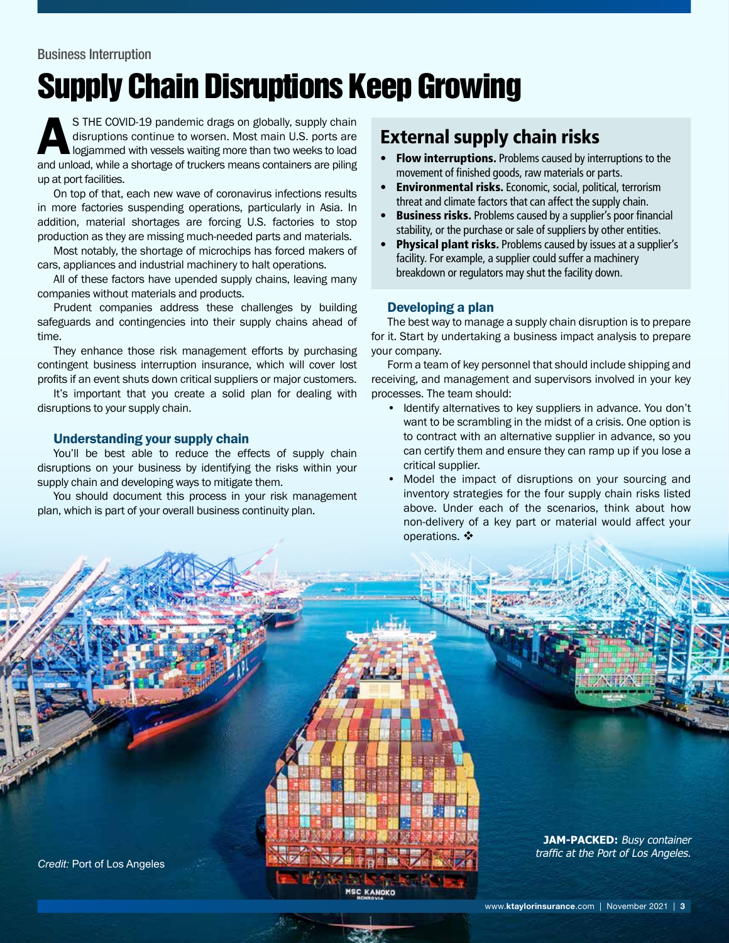# Supply Chain Disruptions Keep Growing

S THE COVID-19 pandemic drags on globally, supply chain<br>disruptions continue to worsen. Most main U.S. ports are<br>logiammed with vessels waiting more than two weeks to load<br>and unload, while a shortage of truckers means con disruptions continue to worsen. Most main U.S. ports are logjammed with vessels waiting more than two weeks to load and unload, while a shortage of truckers means containers are piling up at port facilities.

On top of that, each new wave of coronavirus infections results in more factories suspending operations, particularly in Asia. In addition, material shortages are forcing U.S. factories to stop production as they are missing much-needed parts and materials.

Most notably, the shortage of microchips has forced makers of cars, appliances and industrial machinery to halt operations.

All of these factors have upended supply chains, leaving many companies without materials and products.

Prudent companies address these challenges by building safeguards and contingencies into their supply chains ahead of time.

They enhance those risk management efforts by purchasing contingent business interruption insurance, which will cover lost profits if an event shuts down critical suppliers or major customers.

It's important that you create a solid plan for dealing with disruptions to your supply chain.

#### Understanding your supply chain

You'll be best able to reduce the effects of supply chain disruptions on your business by identifying the risks within your supply chain and developing ways to mitigate them.

You should document this process in your risk management plan, which is part of your overall business continuity plan.

# External supply chain risks

- Flow interruptions. Problems caused by interruptions to the movement of finished goods, raw materials or parts.
- Environmental risks. Economic, social, political, terrorism threat and climate factors that can affect the supply chain.
- **Business risks.** Problems caused by a supplier's poor financial stability, or the purchase or sale of suppliers by other entities.
- Physical plant risks. Problems caused by issues at a supplier's facility. For example, a supplier could suffer a machinery breakdown or regulators may shut the facility down.

#### Developing a plan

The best way to manage a supply chain disruption is to prepare for it. Start by undertaking a business impact analysis to prepare your company.

Form a team of key personnel that should include shipping and receiving, and management and supervisors involved in your key processes. The team should:

- Identify alternatives to key suppliers in advance. You don't want to be scrambling in the midst of a crisis. One option is to contract with an alternative supplier in advance, so you can certify them and ensure they can ramp up if you lose a critical supplier.
- Model the impact of disruptions on your sourcing and inventory strategies for the four supply chain risks listed above. Under each of the scenarios, think about how non-delivery of a key part or material would affect your operations.  $\clubsuit$